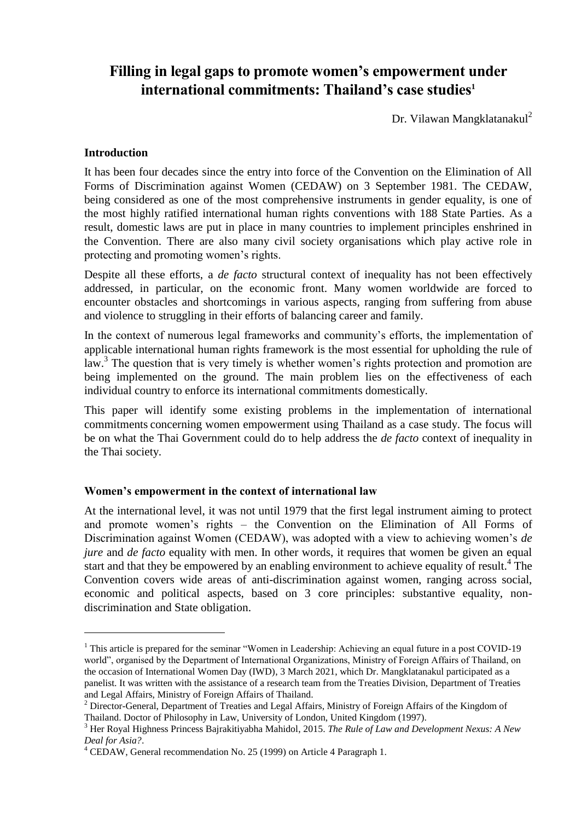# **Filling in legal gaps to promote women's empowerment under international commitments: Thailand's case studies<sup>1</sup>**

Dr. Vilawan Mangklatanakul<sup>2</sup>

## **Introduction**

l

It has been four decades since the entry into force of the Convention on the Elimination of All Forms of Discrimination against Women (CEDAW) on 3 September 1981. The CEDAW, being considered as one of the most comprehensive instruments in gender equality, is one of the most highly ratified international human rights conventions with 188 State Parties. As a result, domestic laws are put in place in many countries to implement principles enshrined in the Convention. There are also many civil society organisations which play active role in protecting and promoting women's rights.

Despite all these efforts, a *de facto* structural context of inequality has not been effectively addressed, in particular, on the economic front. Many women worldwide are forced to encounter obstacles and shortcomings in various aspects, ranging from suffering from abuse and violence to struggling in their efforts of balancing career and family.

In the context of numerous legal frameworks and community's efforts, the implementation of applicable international human rights framework is the most essential for upholding the rule of law.<sup>3</sup> The question that is very timely is whether women's rights protection and promotion are being implemented on the ground. The main problem lies on the effectiveness of each individual country to enforce its international commitments domestically.

This paper will identify some existing problems in the implementation of international commitments concerning women empowerment using Thailand as a case study. The focus will be on what the Thai Government could do to help address the *de facto* context of inequality in the Thai society.

## **Women's empowerment in the context of international law**

At the international level, it was not until 1979 that the first legal instrument aiming to protect and promote women's rights – the Convention on the Elimination of All Forms of Discrimination against Women (CEDAW), was adopted with a view to achieving women's *de jure* and *de facto* equality with men. In other words, it requires that women be given an equal start and that they be empowered by an enabling environment to achieve equality of result.<sup>4</sup> The Convention covers wide areas of anti-discrimination against women, ranging across social, economic and political aspects, based on 3 core principles: substantive equality, nondiscrimination and State obligation.

<sup>&</sup>lt;sup>1</sup> This article is prepared for the seminar "Women in Leadership: Achieving an equal future in a post COVID-19 world", organised by the Department of International Organizations, Ministry of Foreign Affairs of Thailand, on the occasion of International Women Day (IWD), 3 March 2021, which Dr. Mangklatanakul participated as a panelist. It was written with the assistance of a research team from the Treaties Division, Department of Treaties and Legal Affairs, Ministry of Foreign Affairs of Thailand.

<sup>&</sup>lt;sup>2</sup> Director-General, Department of Treaties and Legal Affairs, Ministry of Foreign Affairs of the Kingdom of Thailand. Doctor of Philosophy in Law, University of London, United Kingdom (1997).

<sup>3</sup> Her Royal Highness Princess Bajrakitiyabha Mahidol, 2015. *The Rule of Law and Development Nexus: A New Deal for Asia?*.

<sup>4</sup> CEDAW, General recommendation No. 25 (1999) on Article 4 Paragraph 1.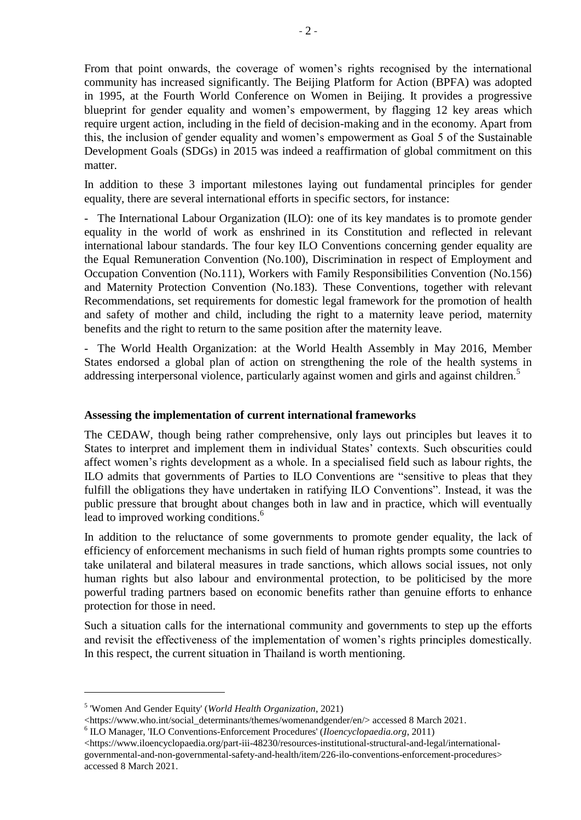From that point onwards, the coverage of women's rights recognised by the international community has increased significantly. The Beijing Platform for Action (BPFA) was adopted in 1995, at the Fourth World Conference on Women in Beijing. It provides a progressive blueprint for gender equality and women's empowerment, by flagging 12 key areas which require urgent action, including in the field of decision-making and in the economy. Apart from this, the inclusion of gender equality and women's empowerment as Goal 5 of the Sustainable Development Goals (SDGs) in 2015 was indeed a reaffirmation of global commitment on this matter.

In addition to these 3 important milestones laying out fundamental principles for gender equality, there are several international efforts in specific sectors, for instance:

- The International Labour Organization (ILO): one of its key mandates is to promote gender equality in the world of work as enshrined in its Constitution and reflected in relevant international labour standards. The four key ILO Conventions concerning gender equality are the Equal Remuneration Convention (No.100), Discrimination in respect of Employment and Occupation Convention (No.111), Workers with Family Responsibilities Convention (No.156) and Maternity Protection Convention (No.183). These Conventions, together with relevant Recommendations, set requirements for domestic legal framework for the promotion of health and safety of mother and child, including the right to a maternity leave period, maternity benefits and the right to return to the same position after the maternity leave.

- The World Health Organization: at the World Health Assembly in May 2016, Member States endorsed a global plan of action on strengthening the role of the health systems in addressing interpersonal violence, particularly against women and girls and against children.<sup>5</sup>

#### **Assessing the implementation of current international frameworks**

The CEDAW, though being rather comprehensive, only lays out principles but leaves it to States to interpret and implement them in individual States' contexts. Such obscurities could affect women's rights development as a whole. In a specialised field such as labour rights, the ILO admits that governments of Parties to ILO Conventions are "sensitive to pleas that they fulfill the obligations they have undertaken in ratifying ILO Conventions". Instead, it was the public pressure that brought about changes both in law and in practice, which will eventually lead to improved working conditions.<sup>6</sup>

In addition to the reluctance of some governments to promote gender equality, the lack of efficiency of enforcement mechanisms in such field of human rights prompts some countries to take unilateral and bilateral measures in trade sanctions, which allows social issues, not only human rights but also labour and environmental protection, to be politicised by the more powerful trading partners based on economic benefits rather than genuine efforts to enhance protection for those in need.

Such a situation calls for the international community and governments to step up the efforts and revisit the effectiveness of the implementation of women's rights principles domestically. In this respect, the current situation in Thailand is worth mentioning.

l

<sup>5</sup> 'Women And Gender Equity' (*World Health Organization*, 2021)

<sup>&</sup>lt;https://www.who.int/social\_determinants/themes/womenandgender/en/> accessed 8 March 2021.

<sup>6</sup> ILO Manager, 'ILO Conventions-Enforcement Procedures' (*Iloencyclopaedia.org*, 2011)

<sup>&</sup>lt;https://www.iloencyclopaedia.org/part-iii-48230/resources-institutional-structural-and-legal/internationalgovernmental-and-non-governmental-safety-and-health/item/226-ilo-conventions-enforcement-procedures> accessed 8 March 2021.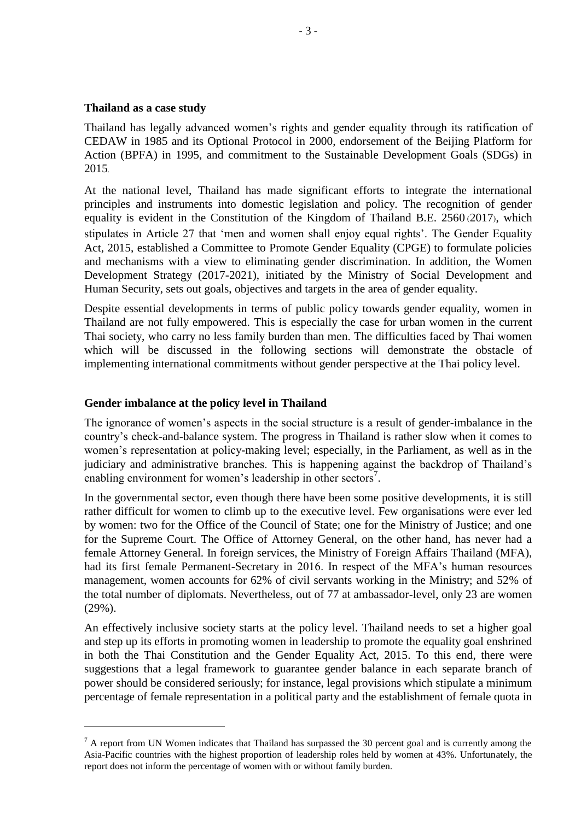## **Thailand as a case study**

l

Thailand has legally advanced women's rights and gender equality through its ratification of CEDAW in 1985 and its Optional Protocol in 2000, endorsement of the Beijing Platform for Action (BPFA) in 1995, and commitment to the Sustainable Development Goals (SDGs) in 2015.

At the national level, Thailand has made significant efforts to integrate the international principles and instruments into domestic legislation and policy. The recognition of gender equality is evident in the Constitution of the Kingdom of Thailand B.E. 2560 (2017), which stipulates in Article 27 that 'men and women shall enjoy equal rights'. The Gender Equality Act, 2015, established a Committee to Promote Gender Equality (CPGE) to formulate policies and mechanisms with a view to eliminating gender discrimination. In addition, the Women Development Strategy (2017-2021), initiated by the Ministry of Social Development and Human Security, sets out goals, objectives and targets in the area of gender equality.

Despite essential developments in terms of public policy towards gender equality, women in Thailand are not fully empowered. This is especially the case for urban women in the current Thai society, who carry no less family burden than men. The difficulties faced by Thai women which will be discussed in the following sections will demonstrate the obstacle of implementing international commitments without gender perspective at the Thai policy level.

## **Gender imbalance at the policy level in Thailand**

The ignorance of women's aspects in the social structure is a result of gender-imbalance in the country's check-and-balance system. The progress in Thailand is rather slow when it comes to women's representation at policy-making level; especially, in the Parliament, as well as in the judiciary and administrative branches. This is happening against the backdrop of Thailand's enabling environment for women's leadership in other sectors<sup>7</sup>.

In the governmental sector, even though there have been some positive developments, it is still rather difficult for women to climb up to the executive level. Few organisations were ever led by women: two for the Office of the Council of State; one for the Ministry of Justice; and one for the Supreme Court. The Office of Attorney General, on the other hand, has never had a female Attorney General. In foreign services, the Ministry of Foreign Affairs Thailand (MFA), had its first female Permanent-Secretary in 2016. In respect of the MFA's human resources management, women accounts for 62% of civil servants working in the Ministry; and 52% of the total number of diplomats. Nevertheless, out of 77 at ambassador-level, only 23 are women (29%).

An effectively inclusive society starts at the policy level. Thailand needs to set a higher goal and step up its efforts in promoting women in leadership to promote the equality goal enshrined in both the Thai Constitution and the Gender Equality Act, 2015. To this end, there were suggestions that a legal framework to guarantee gender balance in each separate branch of power should be considered seriously; for instance, legal provisions which stipulate a minimum percentage of female representation in a political party and the establishment of female quota in

 $<sup>7</sup>$  A report from UN Women indicates that Thailand has surpassed the 30 percent goal and is currently among the</sup> Asia-Pacific countries with the highest proportion of leadership roles held by women at 43%. Unfortunately, the report does not inform the percentage of women with or without family burden.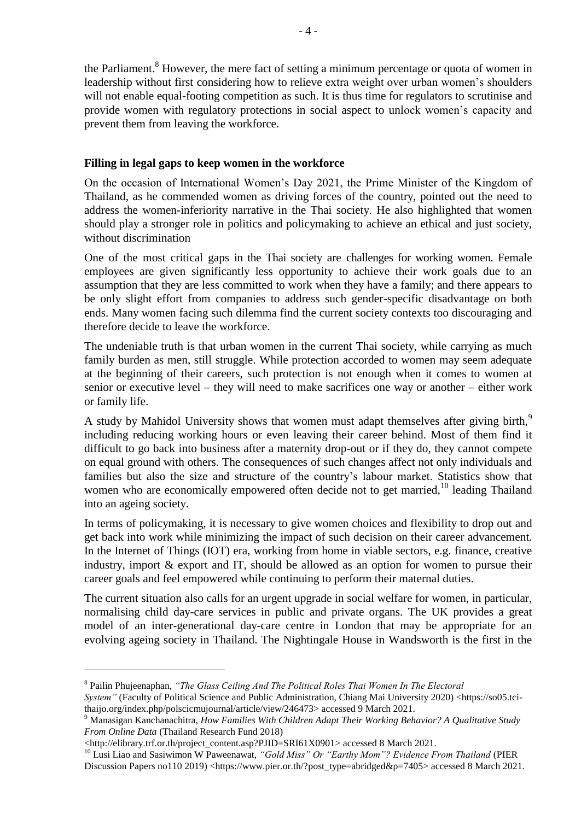the Parliament.<sup>8</sup> However, the mere fact of setting a minimum percentage or quota of women in leadership without first considering how to relieve extra weight over urban women's shoulders will not enable equal-footing competition as such. It is thus time for regulators to scrutinise and provide women with regulatory protections in social aspect to unlock women's capacity and prevent them from leaving the workforce.

# **Filling in legal gaps to keep women in the workforce**

On the occasion of International Women's Day 2021, the Prime Minister of the Kingdom of Thailand, as he commended women as driving forces of the country, pointed out the need to address the women-inferiority narrative in the Thai society. He also highlighted that women should play a stronger role in politics and policymaking to achieve an ethical and just society, without discrimination

One of the most critical gaps in the Thai society are challenges for working women. Female employees are given significantly less opportunity to achieve their work goals due to an assumption that they are less committed to work when they have a family; and there appears to be only slight effort from companies to address such gender-specific disadvantage on both ends. Many women facing such dilemma find the current society contexts too discouraging and therefore decide to leave the workforce.

The undeniable truth is that urban women in the current Thai society, while carrying as much family burden as men, still struggle. While protection accorded to women may seem adequate at the beginning of their careers, such protection is not enough when it comes to women at senior or executive level – they will need to make sacrifices one way or another – either work or family life.

A study by Mahidol University shows that women must adapt themselves after giving birth,<sup>9</sup> including reducing working hours or even leaving their career behind. Most of them find it difficult to go back into business after a maternity drop-out or if they do, they cannot compete on equal ground with others. The consequences of such changes affect not only individuals and families but also the size and structure of the country's labour market. Statistics show that women who are economically empowered often decide not to get married,<sup>10</sup> leading Thailand into an ageing society.

In terms of policymaking, it is necessary to give women choices and flexibility to drop out and get back into work while minimizing the impact of such decision on their career advancement. In the Internet of Things (IOT) era, working from home in viable sectors, e.g. finance, creative industry, import & export and IT, should be allowed as an option for women to pursue their career goals and feel empowered while continuing to perform their maternal duties.

The current situation also calls for an urgent upgrade in social welfare for women, in particular, normalising child day-care services in public and private organs. The UK provides a great model of an inter-generational day-care centre in London that may be appropriate for an evolving ageing society in Thailand. The Nightingale House in Wandsworth is the first in the

<sup>&</sup>lt;sup>8</sup> Pailin Phujeenaphan, "The Glass Ceiling And The Political Roles Thai Women In The Electoral

*System"* (Faculty of Political Science and Public Administration, Chiang Mai University 2020) <https://so05.tcithaijo.org/index.php/polscicmujournal/article/view/246473> accessed 9 March 2021.

<sup>9</sup> Manasigan Kanchanachitra, *How Families With Children Adapt Their Working Behavior? A Qualitative Study From Online Data* (Thailand Research Fund 2018)

<sup>&</sup>lt;http://elibrary.trf.or.th/project\_content.asp?PJID=SRI61X0901> accessed 8 March 2021.

<sup>&</sup>lt;sup>10</sup> Lusi Liao and Sasiwimon W Paweenawat, "Gold Miss" Or "Earthy Mom"? Evidence From Thailand (PIER Discussion Papers no110 2019) <https://www.pier.or.th/?post\_type=abridged&p=7405> accessed 8 March 2021.